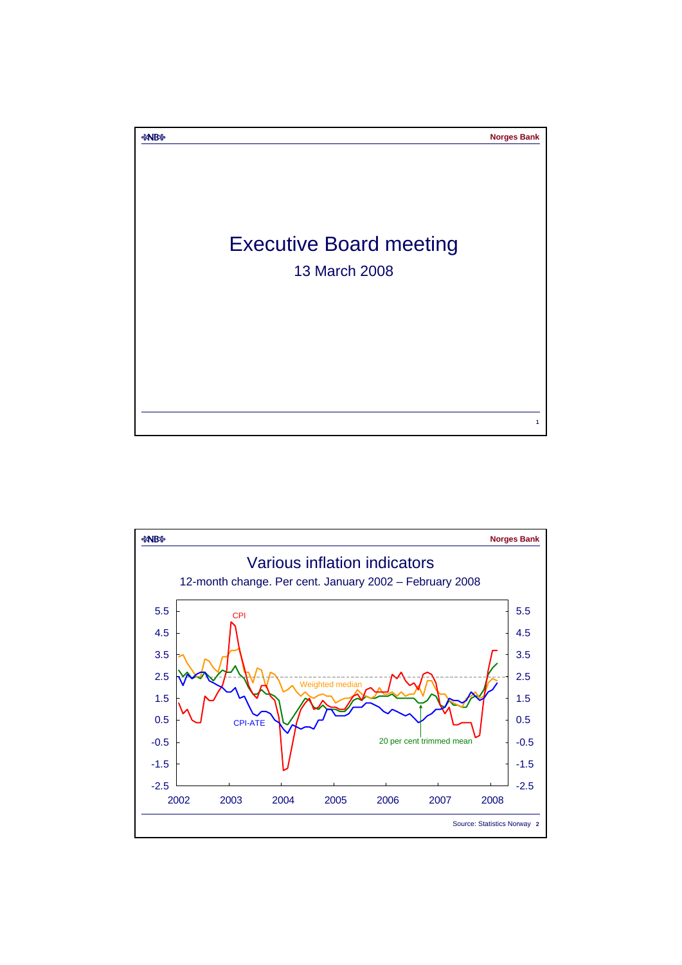

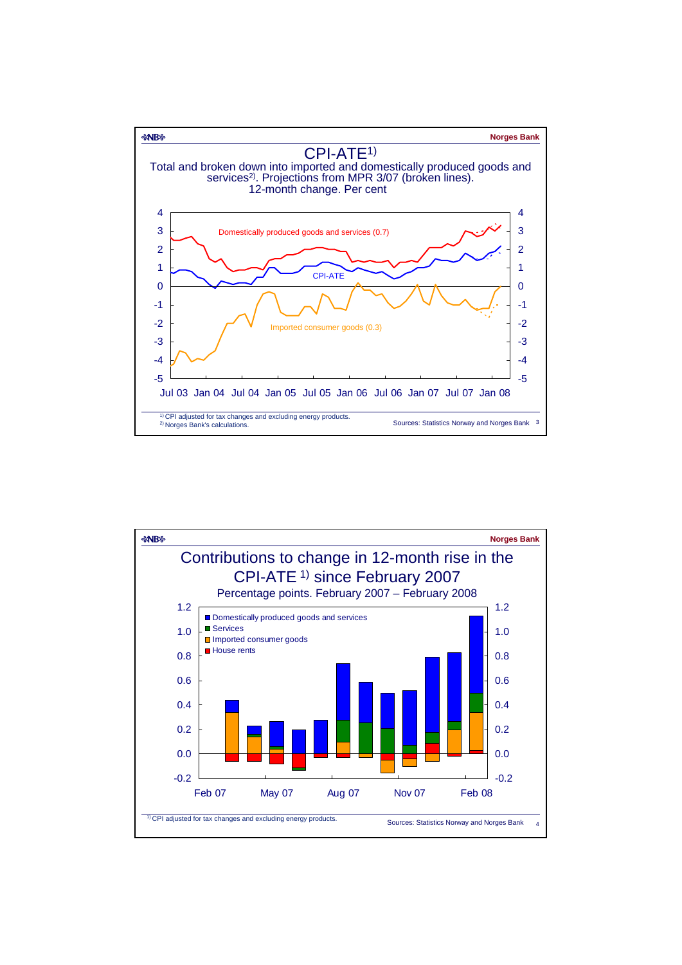

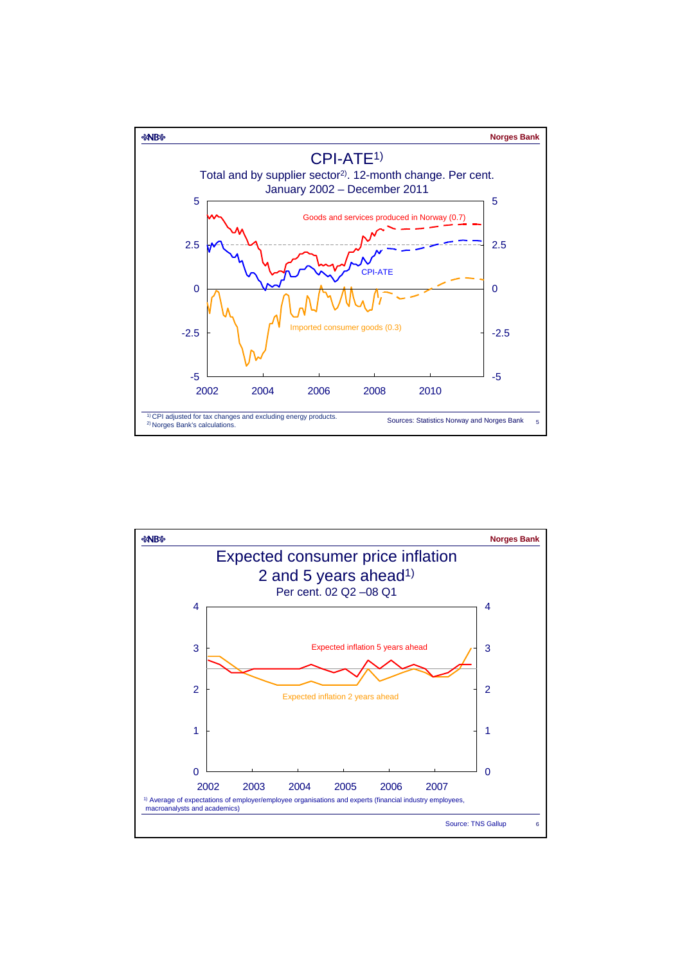

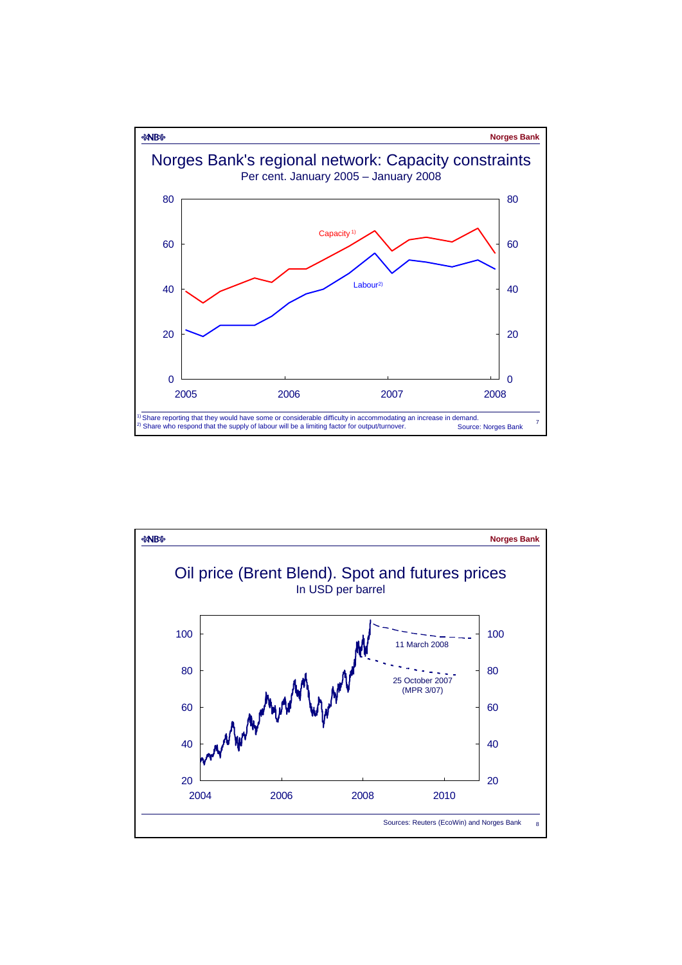

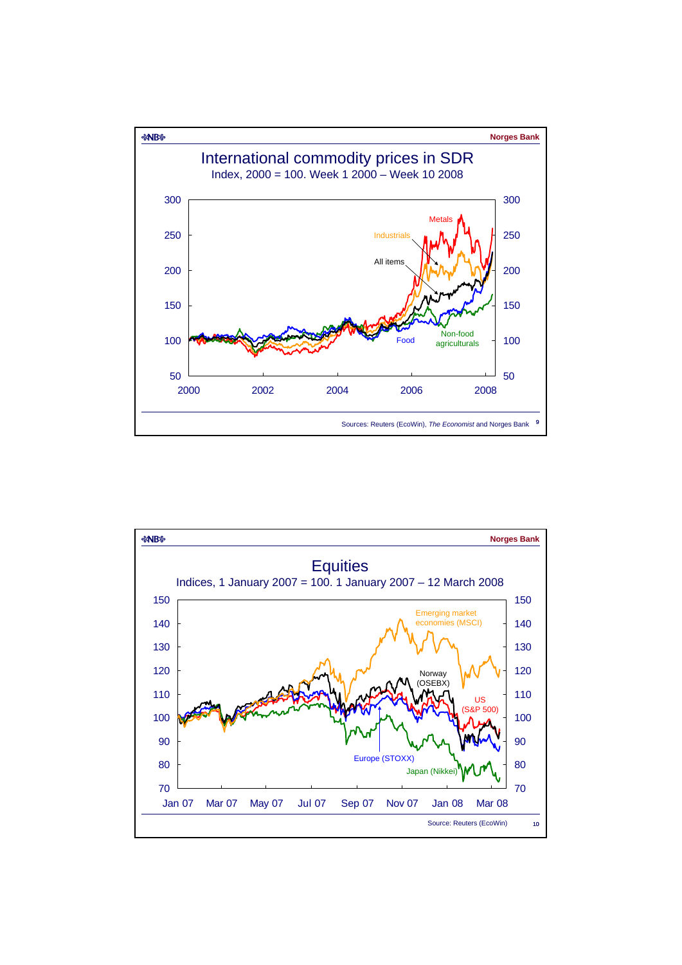

![](_page_4_Figure_1.jpeg)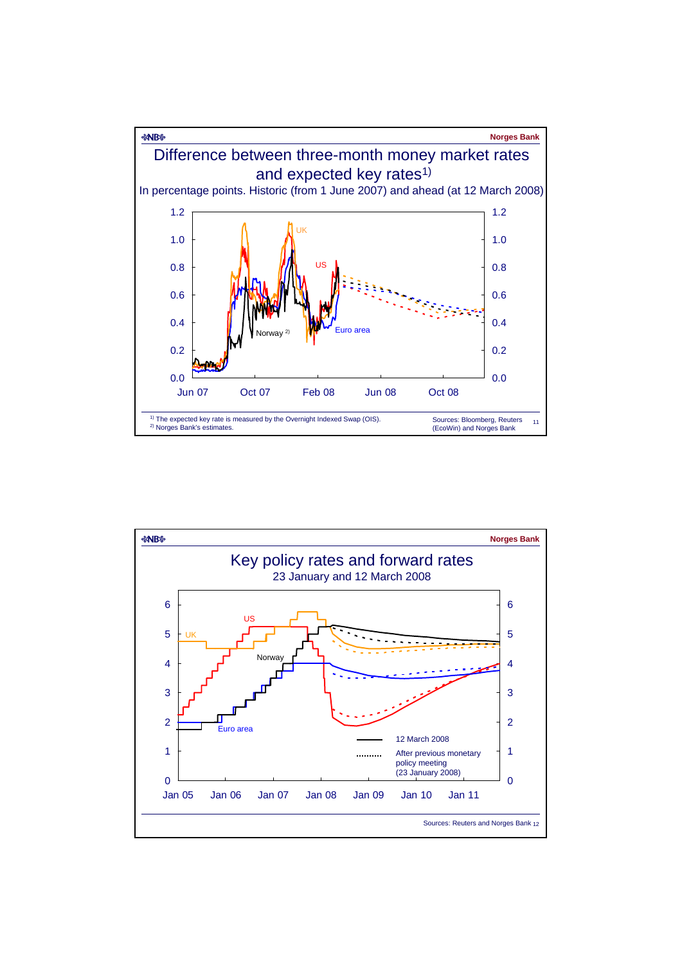![](_page_5_Figure_0.jpeg)

![](_page_5_Figure_1.jpeg)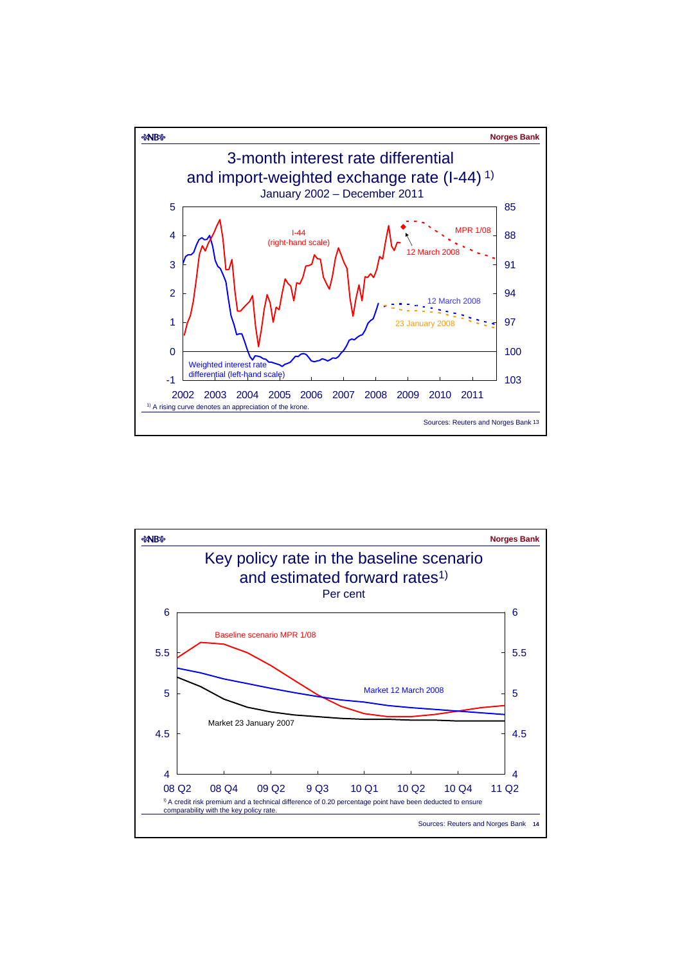![](_page_6_Figure_0.jpeg)

![](_page_6_Figure_1.jpeg)